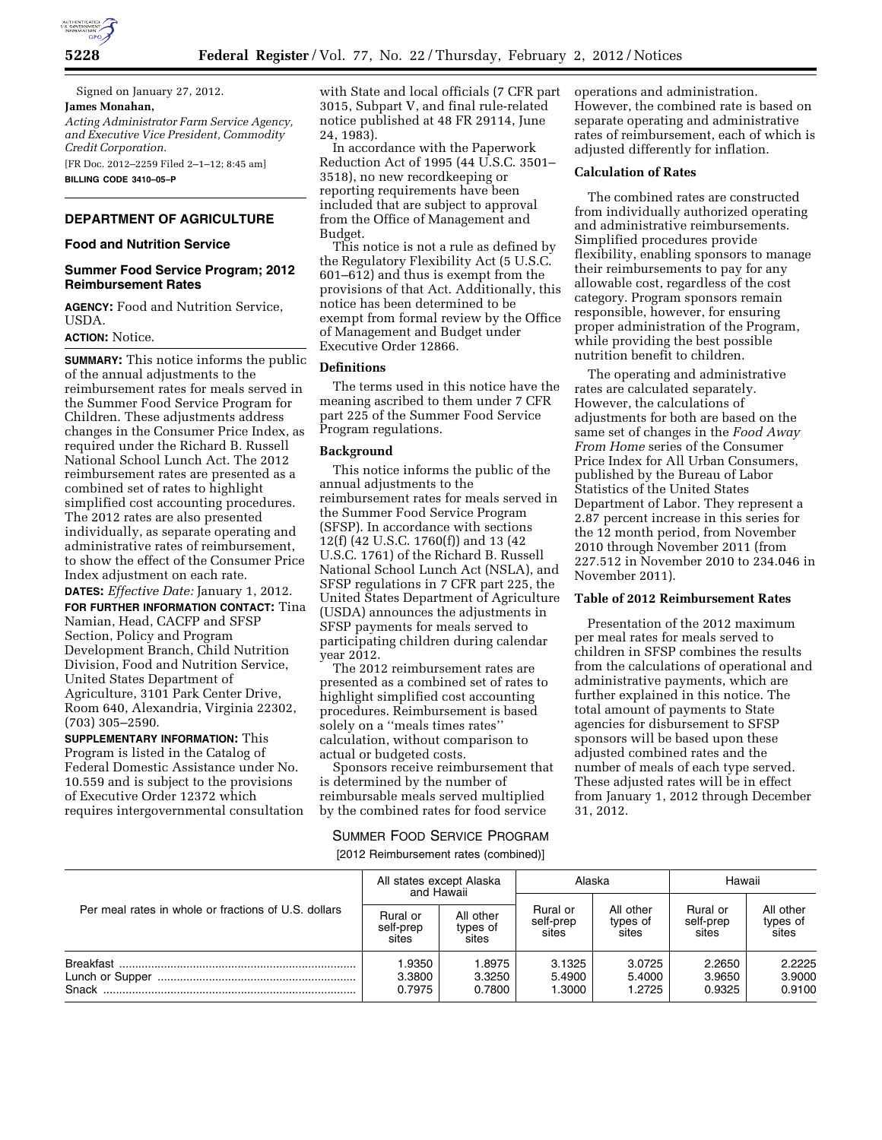

Signed on January 27, 2012. **James Monahan,**  *Acting Administrator Farm Service Agency, and Executive Vice President, Commodity Credit Corporation.* 

[FR Doc. 2012–2259 Filed 2–1–12; 8:45 am]

**BILLING CODE 3410–05–P** 

## **DEPARTMENT OF AGRICULTURE**

#### **Food and Nutrition Service**

## **Summer Food Service Program; 2012 Reimbursement Rates**

**AGENCY:** Food and Nutrition Service, USDA.

## **ACTION:** Notice.

**SUMMARY:** This notice informs the public of the annual adjustments to the reimbursement rates for meals served in the Summer Food Service Program for Children. These adjustments address changes in the Consumer Price Index, as required under the Richard B. Russell National School Lunch Act. The 2012 reimbursement rates are presented as a combined set of rates to highlight simplified cost accounting procedures. The 2012 rates are also presented individually, as separate operating and administrative rates of reimbursement, to show the effect of the Consumer Price Index adjustment on each rate.

**DATES:** *Effective Date:* January 1, 2012. **FOR FURTHER INFORMATION CONTACT:** Tina Namian, Head, CACFP and SFSP Section, Policy and Program Development Branch, Child Nutrition Division, Food and Nutrition Service, United States Department of Agriculture, 3101 Park Center Drive, Room 640, Alexandria, Virginia 22302, (703) 305–2590.

**SUPPLEMENTARY INFORMATION:** This Program is listed in the Catalog of Federal Domestic Assistance under No. 10.559 and is subject to the provisions of Executive Order 12372 which requires intergovernmental consultation with State and local officials (7 CFR part 3015, Subpart V, and final rule-related notice published at 48 FR 29114, June 24, 1983).

In accordance with the Paperwork Reduction Act of 1995 (44 U.S.C. 3501– 3518), no new recordkeeping or reporting requirements have been included that are subject to approval from the Office of Management and Budget.

This notice is not a rule as defined by the Regulatory Flexibility Act (5 U.S.C. 601–612) and thus is exempt from the provisions of that Act. Additionally, this notice has been determined to be exempt from formal review by the Office of Management and Budget under Executive Order 12866.

#### **Definitions**

The terms used in this notice have the meaning ascribed to them under 7 CFR part 225 of the Summer Food Service Program regulations.

#### **Background**

This notice informs the public of the annual adjustments to the reimbursement rates for meals served in the Summer Food Service Program (SFSP). In accordance with sections 12(f) (42 U.S.C. 1760(f)) and 13 (42 U.S.C. 1761) of the Richard B. Russell National School Lunch Act (NSLA), and SFSP regulations in 7 CFR part 225, the United States Department of Agriculture (USDA) announces the adjustments in SFSP payments for meals served to participating children during calendar year 2012.

The 2012 reimbursement rates are presented as a combined set of rates to highlight simplified cost accounting procedures. Reimbursement is based solely on a ''meals times rates'' calculation, without comparison to actual or budgeted costs.

Sponsors receive reimbursement that is determined by the number of reimbursable meals served multiplied by the combined rates for food service

# SUMMER FOOD SERVICE PROGRAM

[2012 Reimbursement rates (combined)]

operations and administration. However, the combined rate is based on separate operating and administrative rates of reimbursement, each of which is adjusted differently for inflation.

## **Calculation of Rates**

The combined rates are constructed from individually authorized operating and administrative reimbursements. Simplified procedures provide flexibility, enabling sponsors to manage their reimbursements to pay for any allowable cost, regardless of the cost category. Program sponsors remain responsible, however, for ensuring proper administration of the Program, while providing the best possible nutrition benefit to children.

The operating and administrative rates are calculated separately. However, the calculations of adjustments for both are based on the same set of changes in the *Food Away From Home* series of the Consumer Price Index for All Urban Consumers, published by the Bureau of Labor Statistics of the United States Department of Labor. They represent a 2.87 percent increase in this series for the 12 month period, from November 2010 through November 2011 (from 227.512 in November 2010 to 234.046 in November 2011).

## **Table of 2012 Reimbursement Rates**

Presentation of the 2012 maximum per meal rates for meals served to children in SFSP combines the results from the calculations of operational and administrative payments, which are further explained in this notice. The total amount of payments to State agencies for disbursement to SFSP sponsors will be based upon these adjusted combined rates and the number of meals of each type served. These adjusted rates will be in effect from January 1, 2012 through December 31, 2012.

| Per meal rates in whole or fractions of U.S. dollars | All states except Alaska<br>and Hawaii |                                | Alaska                         |                                | Hawaii                         |                                |
|------------------------------------------------------|----------------------------------------|--------------------------------|--------------------------------|--------------------------------|--------------------------------|--------------------------------|
|                                                      | Rural or<br>self-prep<br>sites         | All other<br>types of<br>sites | Rural or<br>self-prep<br>sites | All other<br>types of<br>sites | Rural or<br>self-prep<br>sites | All other<br>types of<br>sites |
|                                                      | 1.9350<br>3.3800<br>0.7975             | 1.8975<br>3.3250<br>0.7800     | 3.1325<br>5.4900<br>1.3000     | 3.0725<br>5.4000<br>1.2725     | 2.2650<br>3.9650<br>0.9325     | 2.2225<br>3.9000<br>0.9100     |